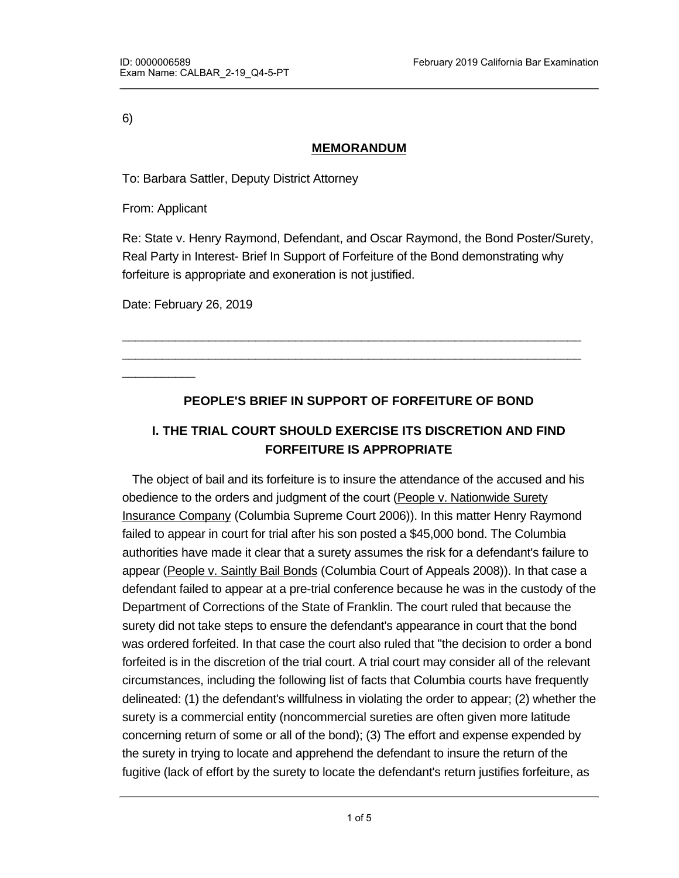6)

#### **MEMORANDUM**

To: Barbara Sattler, Deputy District Attorney

From: Applicant

 $\overline{\phantom{a}}$ 

Re: State v. Henry Raymond, Defendant, and Oscar Raymond, the Bond Poster/Surety, Real Party in Interest- Brief In Support of Forfeiture of the Bond demonstrating why forfeiture is appropriate and exoneration is not justified.

Date: February 26, 2019

### **PEOPLE'S BRIEF IN SUPPORT OF FORFEITURE OF BOND**

\_\_\_\_\_\_\_\_\_\_\_\_\_\_\_\_\_\_\_\_\_\_\_\_\_\_\_\_\_\_\_\_\_\_\_\_\_\_\_\_\_\_\_\_\_\_\_\_\_\_\_\_\_\_\_\_\_\_\_\_\_\_\_\_\_\_\_\_\_ \_\_\_\_\_\_\_\_\_\_\_\_\_\_\_\_\_\_\_\_\_\_\_\_\_\_\_\_\_\_\_\_\_\_\_\_\_\_\_\_\_\_\_\_\_\_\_\_\_\_\_\_\_\_\_\_\_\_\_\_\_\_\_\_\_\_\_\_\_

# **I. THE TRIAL COURT SHOULD EXERCISE ITS DISCRETION AND FIND FORFEITURE IS APPROPRIATE**

 The object of bail and its forfeiture is to insure the attendance of the accused and his obedience to the orders and judgment of the court (People v. Nationwide Surety Insurance Company (Columbia Supreme Court 2006)). In this matter Henry Raymond failed to appear in court for trial after his son posted a \$45,000 bond. The Columbia authorities have made it clear that a surety assumes the risk for a defendant's failure to appear (People v. Saintly Bail Bonds (Columbia Court of Appeals 2008)). In that case a defendant failed to appear at a pre-trial conference because he was in the custody of the Department of Corrections of the State of Franklin. The court ruled that because the surety did not take steps to ensure the defendant's appearance in court that the bond was ordered forfeited. In that case the court also ruled that "the decision to order a bond forfeited is in the discretion of the trial court. A trial court may consider all of the relevant circumstances, including the following list of facts that Columbia courts have frequently delineated: (1) the defendant's willfulness in violating the order to appear; (2) whether the surety is a commercial entity (noncommercial sureties are often given more latitude concerning return of some or all of the bond); (3) The effort and expense expended by the surety in trying to locate and apprehend the defendant to insure the return of the fugitive (lack of effort by the surety to locate the defendant's return justifies forfeiture, as

it is necessary to prove an incentive to the surety to take active and reasonable steps to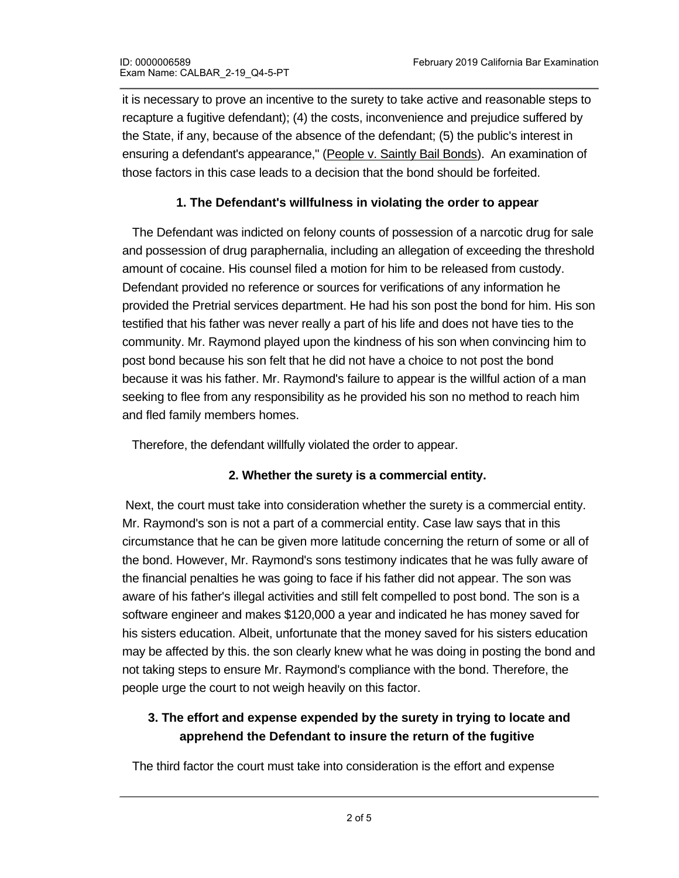it is necessary to prove an incentive to the surety to take active and reasonable steps to recapture a fugitive defendant); (4) the costs, inconvenience and prejudice suffered by the State, if any, because of the absence of the defendant; (5) the public's interest in ensuring a defendant's appearance," (People v. Saintly Bail Bonds). An examination of those factors in this case leads to a decision that the bond should be forfeited.

### **1. The Defendant's willfulness in violating the order to appear**

 The Defendant was indicted on felony counts of possession of a narcotic drug for sale and possession of drug paraphernalia, including an allegation of exceeding the threshold amount of cocaine. His counsel filed a motion for him to be released from custody. Defendant provided no reference or sources for verifications of any information he provided the Pretrial services department. He had his son post the bond for him. His son testified that his father was never really a part of his life and does not have ties to the community. Mr. Raymond played upon the kindness of his son when convincing him to post bond because his son felt that he did not have a choice to not post the bond because it was his father. Mr. Raymond's failure to appear is the willful action of a man seeking to flee from any responsibility as he provided his son no method to reach him and fled family members homes.

Therefore, the defendant willfully violated the order to appear.

### **2. Whether the surety is a commercial entity.**

 Next, the court must take into consideration whether the surety is a commercial entity. Mr. Raymond's son is not a part of a commercial entity. Case law says that in this circumstance that he can be given more latitude concerning the return of some or all of the bond. However, Mr. Raymond's sons testimony indicates that he was fully aware of the financial penalties he was going to face if his father did not appear. The son was aware of his father's illegal activities and still felt compelled to post bond. The son is a software engineer and makes \$120,000 a year and indicated he has money saved for his sisters education. Albeit, unfortunate that the money saved for his sisters education may be affected by this. the son clearly knew what he was doing in posting the bond and not taking steps to ensure Mr. Raymond's compliance with the bond. Therefore, the people urge the court to not weigh heavily on this factor.

# **3. The effort and expense expended by the surety in trying to locate and apprehend the Defendant to insure the return of the fugitive**

The third factor the court must take into consideration is the effort and expense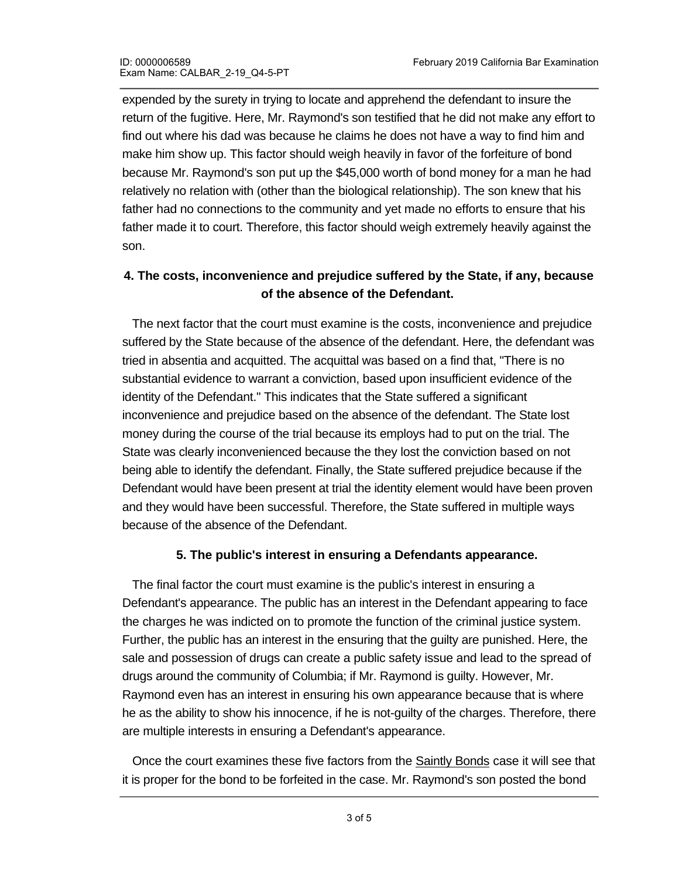expended by the surety in trying to locate and apprehend the defendant to insure the return of the fugitive. Here, Mr. Raymond's son testified that he did not make any effort to find out where his dad was because he claims he does not have a way to find him and make him show up. This factor should weigh heavily in favor of the forfeiture of bond because Mr. Raymond's son put up the \$45,000 worth of bond money for a man he had relatively no relation with (other than the biological relationship). The son knew that his father had no connections to the community and yet made no efforts to ensure that his father made it to court. Therefore, this factor should weigh extremely heavily against the son.

### **4. The costs, inconvenience and prejudice suffered by the State, if any, because of the absence of the Defendant.**

 The next factor that the court must examine is the costs, inconvenience and prejudice suffered by the State because of the absence of the defendant. Here, the defendant was tried in absentia and acquitted. The acquittal was based on a find that, "There is no substantial evidence to warrant a conviction, based upon insufficient evidence of the identity of the Defendant." This indicates that the State suffered a significant inconvenience and prejudice based on the absence of the defendant. The State lost money during the course of the trial because its employs had to put on the trial. The State was clearly inconvenienced because the they lost the conviction based on not being able to identify the defendant. Finally, the State suffered prejudice because if the Defendant would have been present at trial the identity element would have been proven and they would have been successful. Therefore, the State suffered in multiple ways because of the absence of the Defendant.

### **5. The public's interest in ensuring a Defendants appearance.**

 The final factor the court must examine is the public's interest in ensuring a Defendant's appearance. The public has an interest in the Defendant appearing to face the charges he was indicted on to promote the function of the criminal justice system. Further, the public has an interest in the ensuring that the guilty are punished. Here, the sale and possession of drugs can create a public safety issue and lead to the spread of drugs around the community of Columbia; if Mr. Raymond is guilty. However, Mr. Raymond even has an interest in ensuring his own appearance because that is where he as the ability to show his innocence, if he is not-guilty of the charges. Therefore, there are multiple interests in ensuring a Defendant's appearance.

 Once the court examines these five factors from the Saintly Bonds case it will see that it is proper for the bond to be forfeited in the case. Mr. Raymond's son posted the bond

knowing what could happen if his father failed to appear. He also posted the bond not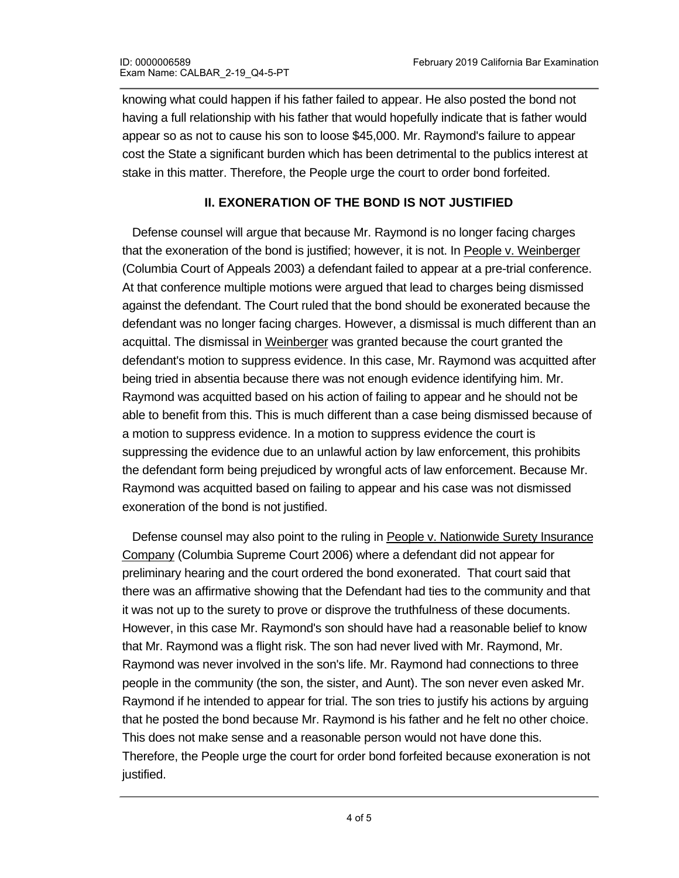knowing what could happen if his father failed to appear. He also posted the bond not having a full relationship with his father that would hopefully indicate that is father would appear so as not to cause his son to loose \$45,000. Mr. Raymond's failure to appear cost the State a significant burden which has been detrimental to the publics interest at stake in this matter. Therefore, the People urge the court to order bond forfeited.

#### **II. EXONERATION OF THE BOND IS NOT JUSTIFIED**

 Defense counsel will argue that because Mr. Raymond is no longer facing charges that the exoneration of the bond is justified; however, it is not. In People v. Weinberger (Columbia Court of Appeals 2003) a defendant failed to appear at a pre-trial conference. At that conference multiple motions were argued that lead to charges being dismissed against the defendant. The Court ruled that the bond should be exonerated because the defendant was no longer facing charges. However, a dismissal is much different than an acquittal. The dismissal in Weinberger was granted because the court granted the defendant's motion to suppress evidence. In this case, Mr. Raymond was acquitted after being tried in absentia because there was not enough evidence identifying him. Mr. Raymond was acquitted based on his action of failing to appear and he should not be able to benefit from this. This is much different than a case being dismissed because of a motion to suppress evidence. In a motion to suppress evidence the court is suppressing the evidence due to an unlawful action by law enforcement, this prohibits the defendant form being prejudiced by wrongful acts of law enforcement. Because Mr. Raymond was acquitted based on failing to appear and his case was not dismissed exoneration of the bond is not justified.

 Defense counsel may also point to the ruling in People v. Nationwide Surety Insurance Company (Columbia Supreme Court 2006) where a defendant did not appear for preliminary hearing and the court ordered the bond exonerated. That court said that there was an affirmative showing that the Defendant had ties to the community and that it was not up to the surety to prove or disprove the truthfulness of these documents. However, in this case Mr. Raymond's son should have had a reasonable belief to know that Mr. Raymond was a flight risk. The son had never lived with Mr. Raymond, Mr. Raymond was never involved in the son's life. Mr. Raymond had connections to three people in the community (the son, the sister, and Aunt). The son never even asked Mr. Raymond if he intended to appear for trial. The son tries to justify his actions by arguing that he posted the bond because Mr. Raymond is his father and he felt no other choice. This does not make sense and a reasonable person would not have done this. Therefore, the People urge the court for order bond forfeited because exoneration is not justified.